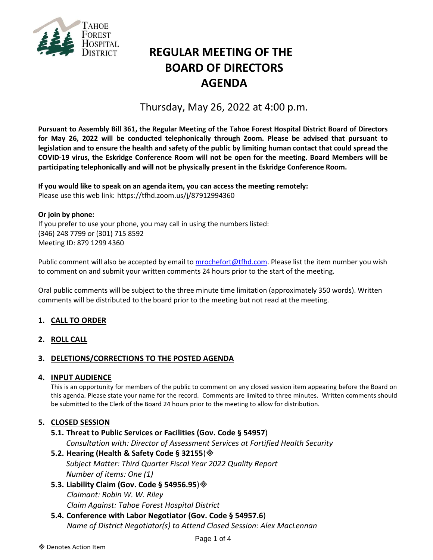

# **REGULAR MEETING OF THE BOARD OF DIRECTORS AGENDA**

## Thursday, May 26, 2022 at 4:00 p.m.

**Pursuant to Assembly Bill 361, the Regular Meeting of the Tahoe Forest Hospital District Board of Directors for May 26, 2022 will be conducted telephonically through Zoom. Please be advised that pursuant to legislation and to ensure the health and safety of the public by limiting human contact that could spread the COVID-19 virus, the Eskridge Conference Room will not be open for the meeting. Board Members will be participating telephonically and will not be physically present in the Eskridge Conference Room.**

**If you would like to speak on an agenda item, you can access the meeting remotely:** Please use this web link: <https://tfhd.zoom.us/j/87912994360>

## **Or join by phone:**

If you prefer to use your phone, you may call in using the numbers listed: (346) 248 7799 or (301) 715 8592 Meeting ID: 879 1299 4360

Public comment will also be accepted by email to [mrochefort@tfhd.com.](mailto:mrochefort@tfhd.com) Please list the item number you wish to comment on and submit your written comments 24 hours prior to the start of the meeting.

Oral public comments will be subject to the three minute time limitation (approximately 350 words). Written comments will be distributed to the board prior to the meeting but not read at the meeting.

## **1. CALL TO ORDER**

#### **2. ROLL CALL**

#### **3. DELETIONS/CORRECTIONS TO THE POSTED AGENDA**

#### **4. INPUT AUDIENCE**

This is an opportunity for members of the public to comment on any closed session item appearing before the Board on this agenda. Please state your name for the record. Comments are limited to three minutes. Written comments should be submitted to the Clerk of the Board 24 hours prior to the meeting to allow for distribution.

#### **5. CLOSED SESSION**

#### **5.1. Threat to Public Services or Facilities (Gov. Code § 54957**)

*Consultation with: Director of Assessment Services at Fortified Health Security* 

#### **5.2. Hearing (Health & Safety Code § 32155**)

*Subject Matter: Third Quarter Fiscal Year 2022 Quality Report Number of items: One (1)*

- **5.3. Liability Claim (Gov. Code § 54956.95**) *Claimant: Robin W. W. Riley Claim Against: Tahoe Forest Hospital District*
- **5.4. Conference with Labor Negotiator (Gov. Code § 54957.6**) *Name of District Negotiator(s) to Attend Closed Session: Alex MacLennan*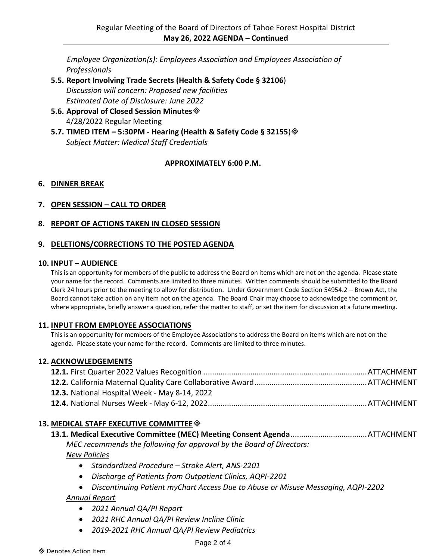*Employee Organization(s): Employees Association and Employees Association of Professionals*

- **5.5. Report Involving Trade Secrets (Health & Safety Code § 32106**) *Discussion will concern: Proposed new facilities Estimated Date of Disclosure: June 2022*
- **5.6. Approval of Closed Session Minutes** 4/28/2022 Regular Meeting
- **5.7. TIMED ITEM – 5:30PM - Hearing (Health & Safety Code § 32155**) *Subject Matter: Medical Staff Credentials*

## **APPROXIMATELY 6:00 P.M.**

## **6. DINNER BREAK**

## **7. OPEN SESSION – CALL TO ORDER**

## **8. REPORT OF ACTIONS TAKEN IN CLOSED SESSION**

## **9. DELETIONS/CORRECTIONS TO THE POSTED AGENDA**

#### **10. INPUT – AUDIENCE**

This is an opportunity for members of the public to address the Board on items which are not on the agenda. Please state your name for the record. Comments are limited to three minutes. Written comments should be submitted to the Board Clerk 24 hours prior to the meeting to allow for distribution. Under Government Code Section 54954.2 – Brown Act, the Board cannot take action on any item not on the agenda. The Board Chair may choose to acknowledge the comment or, where appropriate, briefly answer a question, refer the matter to staff, or set the item for discussion at a future meeting.

#### **11. INPUT FROM EMPLOYEE ASSOCIATIONS**

This is an opportunity for members of the Employee Associations to address the Board on items which are not on the agenda. Please state your name for the record. Comments are limited to three minutes.

#### **12. ACKNOWLEDGEMENTS**

| 12.3. National Hospital Week - May 8-14, 2022 |  |
|-----------------------------------------------|--|
|                                               |  |

## **13. MEDICAL STAFF EXECUTIVE COMMITTEE**

## **13.1. Medical Executive Committee (MEC) Meeting Consent Agenda**....................................ATTACHMENT

*MEC recommends the following for approval by the Board of Directors: New Policies*

- *Standardized Procedure – Stroke Alert, ANS-2201*
- *Discharge of Patients from Outpatient Clinics, AQPI-2201*
- *Discontinuing Patient myChart Access Due to Abuse or Misuse Messaging, AQPI-2202*

*Annual Report*

- *2021 Annual QA/PI Report*
- *2021 RHC Annual QA/PI Review Incline Clinic*
- *2019-2021 RHC Annual QA/PI Review Pediatrics*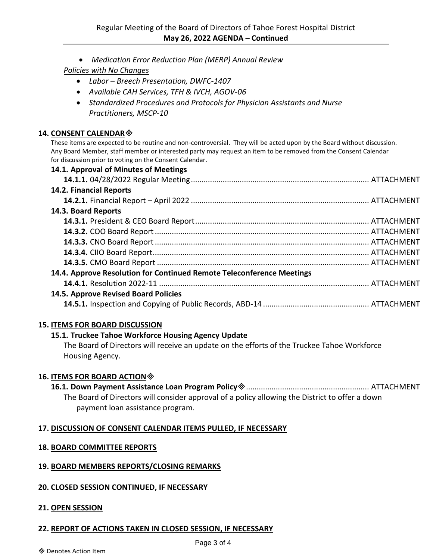*Medication Error Reduction Plan (MERP) Annual Review*

## *Policies with No Changes*

- *Labor – Breech Presentation, DWFC-1407*
- *Available CAH Services, TFH & IVCH, AGOV-06*
- *Standardized Procedures and Protocols for Physician Assistants and Nurse Practitioners, MSCP-10*

### **14. CONSENT CALENDAR**

These items are expected to be routine and non-controversial. They will be acted upon by the Board without discussion. Any Board Member, staff member or interested party may request an item to be removed from the Consent Calendar for discussion prior to voting on the Consent Calendar.

| 14.1. Approval of Minutes of Meetings                                 |  |
|-----------------------------------------------------------------------|--|
|                                                                       |  |
| 14.2. Financial Reports                                               |  |
|                                                                       |  |
| 14.3. Board Reports                                                   |  |
|                                                                       |  |
|                                                                       |  |
|                                                                       |  |
|                                                                       |  |
|                                                                       |  |
| 14.4. Approve Resolution for Continued Remote Teleconference Meetings |  |
|                                                                       |  |
| 14.5. Approve Revised Board Policies                                  |  |
|                                                                       |  |

## **15. ITEMS FOR BOARD DISCUSSION**

## **15.1. Truckee Tahoe Workforce Housing Agency Update**

The Board of Directors will receive an update on the efforts of the Truckee Tahoe Workforce Housing Agency.

## **16. ITEMS FOR BOARD ACTION**

**16.1. Down Payment Assistance Loan Program Policy**.......................................................... ATTACHMENT The Board of Directors will consider approval of a policy allowing the District to offer a down payment loan assistance program.

## **17. DISCUSSION OF CONSENT CALENDAR ITEMS PULLED, IF NECESSARY**

## **18. BOARD COMMITTEE REPORTS**

## **19. BOARD MEMBERS REPORTS/CLOSING REMARKS**

## **20. CLOSED SESSION CONTINUED, IF NECESSARY**

## **21. OPEN SESSION**

## **22. REPORT OF ACTIONS TAKEN IN CLOSED SESSION, IF NECESSARY**